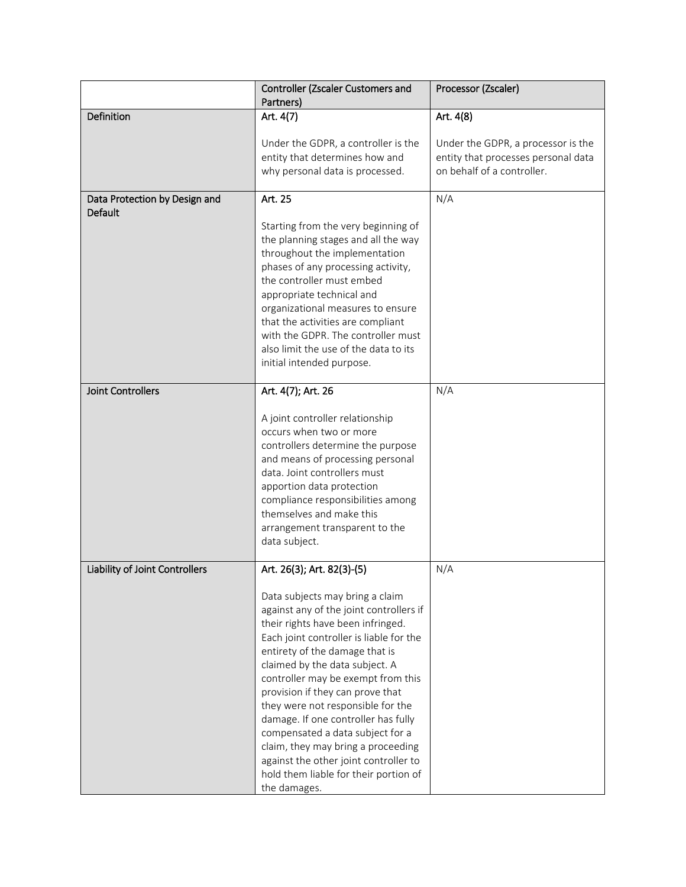|                                | Controller (Zscaler Customers and<br>Partners)                                                                                                                                                                                                                                                                                                                                                                                                                                                                                                                   | Processor (Zscaler)                                                                                     |
|--------------------------------|------------------------------------------------------------------------------------------------------------------------------------------------------------------------------------------------------------------------------------------------------------------------------------------------------------------------------------------------------------------------------------------------------------------------------------------------------------------------------------------------------------------------------------------------------------------|---------------------------------------------------------------------------------------------------------|
| Definition                     | Art. 4(7)                                                                                                                                                                                                                                                                                                                                                                                                                                                                                                                                                        | Art. 4(8)                                                                                               |
|                                | Under the GDPR, a controller is the<br>entity that determines how and<br>why personal data is processed.                                                                                                                                                                                                                                                                                                                                                                                                                                                         | Under the GDPR, a processor is the<br>entity that processes personal data<br>on behalf of a controller. |
| Data Protection by Design and  | Art. 25                                                                                                                                                                                                                                                                                                                                                                                                                                                                                                                                                          | N/A                                                                                                     |
| <b>Default</b>                 | Starting from the very beginning of<br>the planning stages and all the way<br>throughout the implementation<br>phases of any processing activity,<br>the controller must embed<br>appropriate technical and<br>organizational measures to ensure<br>that the activities are compliant<br>with the GDPR. The controller must<br>also limit the use of the data to its<br>initial intended purpose.                                                                                                                                                                |                                                                                                         |
|                                |                                                                                                                                                                                                                                                                                                                                                                                                                                                                                                                                                                  |                                                                                                         |
| <b>Joint Controllers</b>       | Art. 4(7); Art. 26                                                                                                                                                                                                                                                                                                                                                                                                                                                                                                                                               | N/A                                                                                                     |
|                                | A joint controller relationship<br>occurs when two or more<br>controllers determine the purpose<br>and means of processing personal<br>data. Joint controllers must<br>apportion data protection<br>compliance responsibilities among<br>themselves and make this<br>arrangement transparent to the<br>data subject.                                                                                                                                                                                                                                             |                                                                                                         |
| Liability of Joint Controllers | Art. 26(3); Art. 82(3)-(5)                                                                                                                                                                                                                                                                                                                                                                                                                                                                                                                                       | N/A                                                                                                     |
|                                | Data subjects may bring a claim<br>against any of the joint controllers if<br>their rights have been infringed.<br>Each joint controller is liable for the<br>entirety of the damage that is<br>claimed by the data subject. A<br>controller may be exempt from this<br>provision if they can prove that<br>they were not responsible for the<br>damage. If one controller has fully<br>compensated a data subject for a<br>claim, they may bring a proceeding<br>against the other joint controller to<br>hold them liable for their portion of<br>the damages. |                                                                                                         |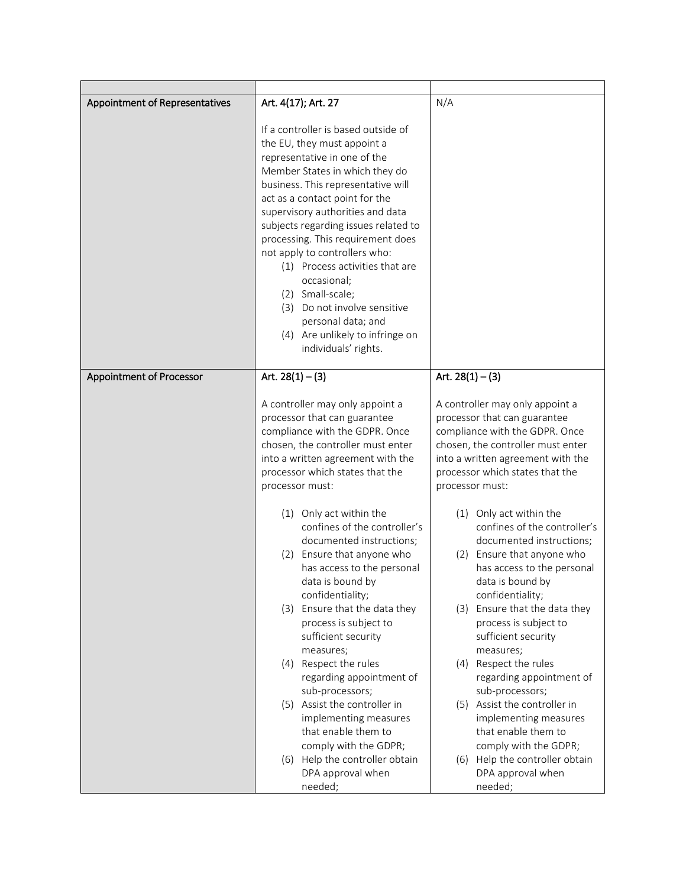| Appointment of Representatives  | Art. 4(17); Art. 27                                                                                                                                                                                                                                                                                                                                                                                                                                                                                                                                   | N/A                                                                                                                                                                                                                               |
|---------------------------------|-------------------------------------------------------------------------------------------------------------------------------------------------------------------------------------------------------------------------------------------------------------------------------------------------------------------------------------------------------------------------------------------------------------------------------------------------------------------------------------------------------------------------------------------------------|-----------------------------------------------------------------------------------------------------------------------------------------------------------------------------------------------------------------------------------|
|                                 | If a controller is based outside of<br>the EU, they must appoint a<br>representative in one of the<br>Member States in which they do<br>business. This representative will<br>act as a contact point for the<br>supervisory authorities and data<br>subjects regarding issues related to<br>processing. This requirement does<br>not apply to controllers who:<br>(1) Process activities that are<br>occasional;<br>(2) Small-scale;<br>(3) Do not involve sensitive<br>personal data; and<br>(4) Are unlikely to infringe on<br>individuals' rights. |                                                                                                                                                                                                                                   |
| <b>Appointment of Processor</b> | Art. $28(1) - (3)$                                                                                                                                                                                                                                                                                                                                                                                                                                                                                                                                    | Art. $28(1) - (3)$                                                                                                                                                                                                                |
|                                 | A controller may only appoint a<br>processor that can guarantee<br>compliance with the GDPR. Once<br>chosen, the controller must enter<br>into a written agreement with the<br>processor which states that the<br>processor must:                                                                                                                                                                                                                                                                                                                     | A controller may only appoint a<br>processor that can guarantee<br>compliance with the GDPR. Once<br>chosen, the controller must enter<br>into a written agreement with the<br>processor which states that the<br>processor must: |
|                                 | (1) Only act within the<br>confines of the controller's<br>documented instructions;<br>(2) Ensure that anyone who<br>has access to the personal<br>data is bound by<br>confidentiality;                                                                                                                                                                                                                                                                                                                                                               | (1) Only act within the<br>confines of the controller's<br>documented instructions;<br>(2) Ensure that anyone who<br>has access to the personal<br>data is bound by<br>confidentiality;                                           |
|                                 | (3) Ensure that the data they<br>process is subject to<br>sufficient security<br>measures;                                                                                                                                                                                                                                                                                                                                                                                                                                                            | Ensure that the data they<br>(3)<br>process is subject to<br>sufficient security<br>measures;                                                                                                                                     |
|                                 | (4) Respect the rules<br>regarding appointment of<br>sub-processors;                                                                                                                                                                                                                                                                                                                                                                                                                                                                                  | Respect the rules<br>(4)<br>regarding appointment of<br>sub-processors;                                                                                                                                                           |
|                                 | (5) Assist the controller in<br>implementing measures<br>that enable them to                                                                                                                                                                                                                                                                                                                                                                                                                                                                          | (5) Assist the controller in<br>implementing measures<br>that enable them to<br>comply with the GDPR;                                                                                                                             |
|                                 | comply with the GDPR;<br>(6) Help the controller obtain<br>DPA approval when<br>needed;                                                                                                                                                                                                                                                                                                                                                                                                                                                               | (6) Help the controller obtain<br>DPA approval when<br>needed;                                                                                                                                                                    |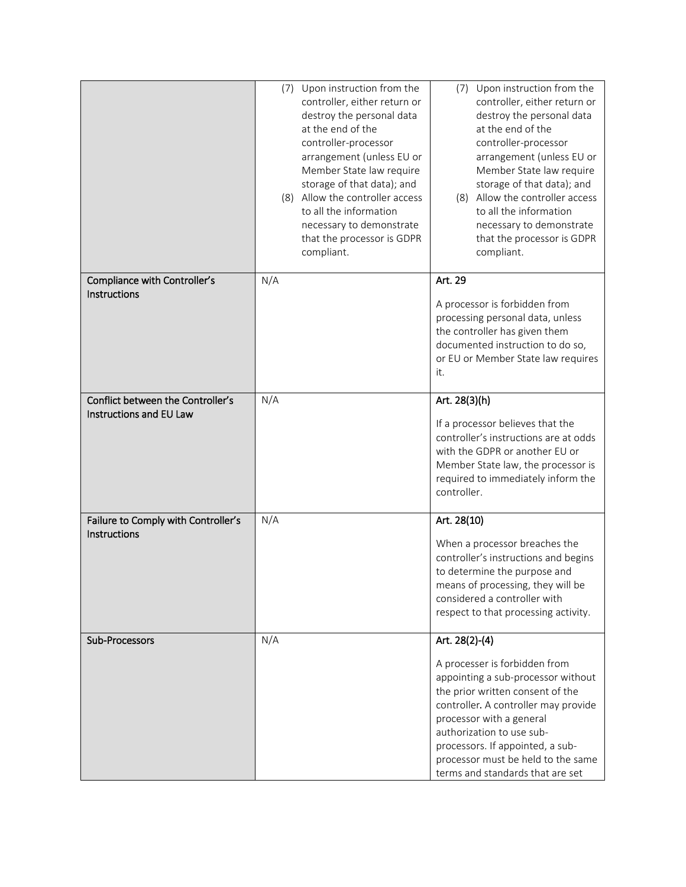|                                     | (7) Upon instruction from the<br>controller, either return or<br>destroy the personal data<br>at the end of the<br>controller-processor<br>arrangement (unless EU or<br>Member State law require<br>storage of that data); and<br>(8) Allow the controller access<br>to all the information<br>necessary to demonstrate<br>that the processor is GDPR<br>compliant. | Upon instruction from the<br>(7)<br>controller, either return or<br>destroy the personal data<br>at the end of the<br>controller-processor<br>arrangement (unless EU or<br>Member State law require<br>storage of that data); and<br>(8) Allow the controller access<br>to all the information<br>necessary to demonstrate<br>that the processor is GDPR<br>compliant. |
|-------------------------------------|---------------------------------------------------------------------------------------------------------------------------------------------------------------------------------------------------------------------------------------------------------------------------------------------------------------------------------------------------------------------|------------------------------------------------------------------------------------------------------------------------------------------------------------------------------------------------------------------------------------------------------------------------------------------------------------------------------------------------------------------------|
| Compliance with Controller's        | N/A                                                                                                                                                                                                                                                                                                                                                                 | Art. 29                                                                                                                                                                                                                                                                                                                                                                |
| Instructions                        |                                                                                                                                                                                                                                                                                                                                                                     | A processor is forbidden from<br>processing personal data, unless<br>the controller has given them<br>documented instruction to do so,<br>or EU or Member State law requires<br>it.                                                                                                                                                                                    |
| Conflict between the Controller's   | N/A                                                                                                                                                                                                                                                                                                                                                                 | Art. 28(3)(h)                                                                                                                                                                                                                                                                                                                                                          |
| Instructions and EU Law             |                                                                                                                                                                                                                                                                                                                                                                     | If a processor believes that the<br>controller's instructions are at odds<br>with the GDPR or another EU or<br>Member State law, the processor is<br>required to immediately inform the<br>controller.                                                                                                                                                                 |
| Failure to Comply with Controller's | N/A                                                                                                                                                                                                                                                                                                                                                                 | Art. 28(10)                                                                                                                                                                                                                                                                                                                                                            |
| Instructions                        |                                                                                                                                                                                                                                                                                                                                                                     | When a processor breaches the<br>controller's instructions and begins<br>to determine the purpose and<br>means of processing, they will be<br>considered a controller with<br>respect to that processing activity.                                                                                                                                                     |
| Sub-Processors                      | N/A                                                                                                                                                                                                                                                                                                                                                                 | Art. 28(2)-(4)<br>A processer is forbidden from<br>appointing a sub-processor without<br>the prior written consent of the<br>controller. A controller may provide<br>processor with a general<br>authorization to use sub-<br>processors. If appointed, a sub-<br>processor must be held to the same<br>terms and standards that are set                               |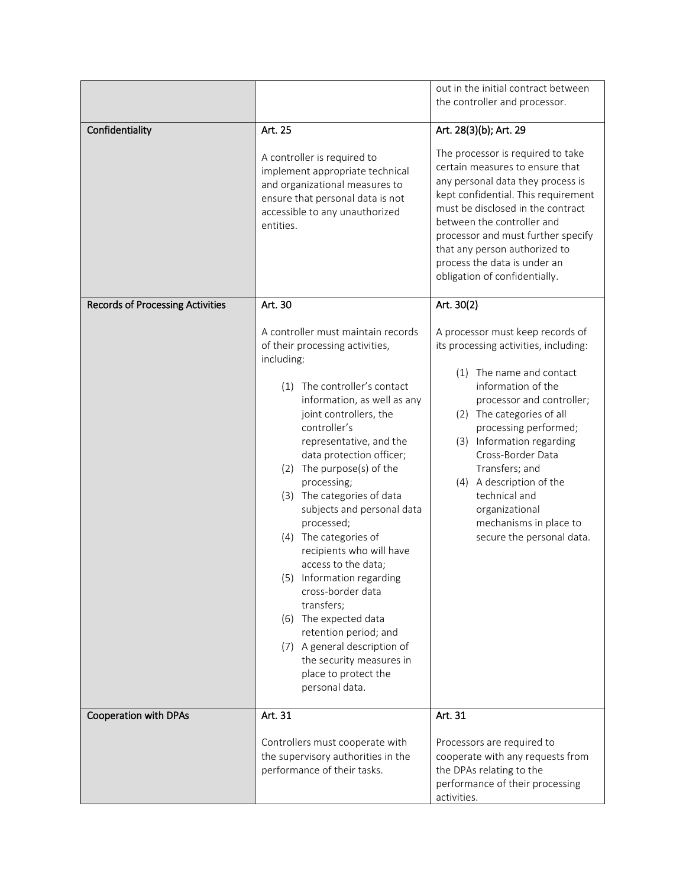|                                         |                                                                                                                                                                                                                                                                                                                                                                                                                                                                                                                                                                                                                                                                               | out in the initial contract between                                                                                                                                                                                                                                                                                                                                                                         |
|-----------------------------------------|-------------------------------------------------------------------------------------------------------------------------------------------------------------------------------------------------------------------------------------------------------------------------------------------------------------------------------------------------------------------------------------------------------------------------------------------------------------------------------------------------------------------------------------------------------------------------------------------------------------------------------------------------------------------------------|-------------------------------------------------------------------------------------------------------------------------------------------------------------------------------------------------------------------------------------------------------------------------------------------------------------------------------------------------------------------------------------------------------------|
|                                         |                                                                                                                                                                                                                                                                                                                                                                                                                                                                                                                                                                                                                                                                               | the controller and processor.                                                                                                                                                                                                                                                                                                                                                                               |
| Confidentiality                         | Art. 25                                                                                                                                                                                                                                                                                                                                                                                                                                                                                                                                                                                                                                                                       | Art. 28(3)(b); Art. 29                                                                                                                                                                                                                                                                                                                                                                                      |
|                                         | A controller is required to<br>implement appropriate technical<br>and organizational measures to<br>ensure that personal data is not<br>accessible to any unauthorized<br>entities.                                                                                                                                                                                                                                                                                                                                                                                                                                                                                           | The processor is required to take<br>certain measures to ensure that<br>any personal data they process is<br>kept confidential. This requirement<br>must be disclosed in the contract<br>between the controller and<br>processor and must further specify<br>that any person authorized to<br>process the data is under an<br>obligation of confidentially.                                                 |
| <b>Records of Processing Activities</b> | Art. 30                                                                                                                                                                                                                                                                                                                                                                                                                                                                                                                                                                                                                                                                       | Art. 30(2)                                                                                                                                                                                                                                                                                                                                                                                                  |
|                                         | A controller must maintain records<br>of their processing activities,<br>including:<br>(1) The controller's contact<br>information, as well as any<br>joint controllers, the<br>controller's<br>representative, and the<br>data protection officer;<br>(2) The purpose(s) of the<br>processing;<br>(3) The categories of data<br>subjects and personal data<br>processed;<br>(4) The categories of<br>recipients who will have<br>access to the data;<br>(5) Information regarding<br>cross-border data<br>transfers;<br>(6) The expected data<br>retention period; and<br>(7) A general description of<br>the security measures in<br>place to protect the<br>personal data. | A processor must keep records of<br>its processing activities, including:<br>The name and contact<br>(1)<br>information of the<br>processor and controller;<br>(2) The categories of all<br>processing performed;<br>(3) Information regarding<br>Cross-Border Data<br>Transfers; and<br>(4) A description of the<br>technical and<br>organizational<br>mechanisms in place to<br>secure the personal data. |
| <b>Cooperation with DPAs</b>            | Art. 31                                                                                                                                                                                                                                                                                                                                                                                                                                                                                                                                                                                                                                                                       | Art. 31                                                                                                                                                                                                                                                                                                                                                                                                     |
|                                         | Controllers must cooperate with<br>the supervisory authorities in the<br>performance of their tasks.                                                                                                                                                                                                                                                                                                                                                                                                                                                                                                                                                                          | Processors are required to<br>cooperate with any requests from<br>the DPAs relating to the<br>performance of their processing<br>activities.                                                                                                                                                                                                                                                                |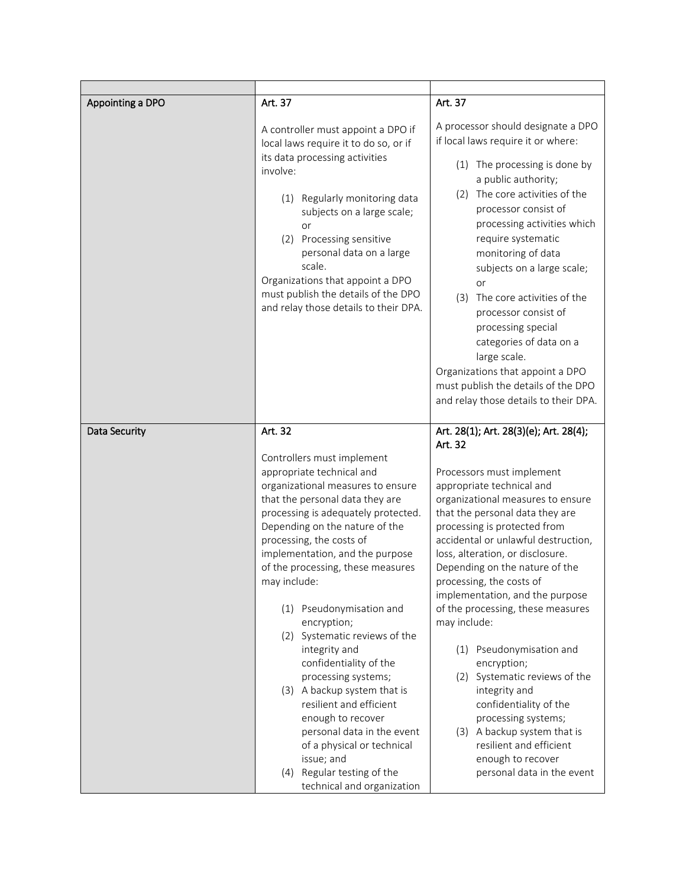| Appointing a DPO | Art. 37                                                                                                                                                                                                                                                                                               | Art. 37                                                                                                                                                                                                                                                                                                                                                                                                                                                                         |
|------------------|-------------------------------------------------------------------------------------------------------------------------------------------------------------------------------------------------------------------------------------------------------------------------------------------------------|---------------------------------------------------------------------------------------------------------------------------------------------------------------------------------------------------------------------------------------------------------------------------------------------------------------------------------------------------------------------------------------------------------------------------------------------------------------------------------|
|                  | A controller must appoint a DPO if<br>local laws require it to do so, or if                                                                                                                                                                                                                           | A processor should designate a DPO<br>if local laws require it or where:                                                                                                                                                                                                                                                                                                                                                                                                        |
|                  | its data processing activities<br>involve:<br>(1) Regularly monitoring data<br>subjects on a large scale;<br>or<br>(2) Processing sensitive<br>personal data on a large<br>scale.<br>Organizations that appoint a DPO<br>must publish the details of the DPO<br>and relay those details to their DPA. | (1) The processing is done by<br>a public authority;<br>(2) The core activities of the<br>processor consist of<br>processing activities which<br>require systematic<br>monitoring of data<br>subjects on a large scale;<br>or<br>(3)<br>The core activities of the<br>processor consist of<br>processing special<br>categories of data on a<br>large scale.<br>Organizations that appoint a DPO<br>must publish the details of the DPO<br>and relay those details to their DPA. |
| Data Security    | Art. 32                                                                                                                                                                                                                                                                                               | Art. 28(1); Art. 28(3)(e); Art. 28(4);                                                                                                                                                                                                                                                                                                                                                                                                                                          |
|                  | Controllers must implement                                                                                                                                                                                                                                                                            | Art. 32                                                                                                                                                                                                                                                                                                                                                                                                                                                                         |
|                  | appropriate technical and                                                                                                                                                                                                                                                                             | Processors must implement                                                                                                                                                                                                                                                                                                                                                                                                                                                       |
|                  | organizational measures to ensure                                                                                                                                                                                                                                                                     | appropriate technical and                                                                                                                                                                                                                                                                                                                                                                                                                                                       |
|                  | that the personal data they are                                                                                                                                                                                                                                                                       | organizational measures to ensure                                                                                                                                                                                                                                                                                                                                                                                                                                               |
|                  | processing is adequately protected.                                                                                                                                                                                                                                                                   | that the personal data they are                                                                                                                                                                                                                                                                                                                                                                                                                                                 |
|                  | Depending on the nature of the<br>processing, the costs of                                                                                                                                                                                                                                            | processing is protected from<br>accidental or unlawful destruction,                                                                                                                                                                                                                                                                                                                                                                                                             |
|                  | implementation, and the purpose                                                                                                                                                                                                                                                                       | loss, alteration, or disclosure.                                                                                                                                                                                                                                                                                                                                                                                                                                                |
|                  | of the processing, these measures                                                                                                                                                                                                                                                                     | Depending on the nature of the                                                                                                                                                                                                                                                                                                                                                                                                                                                  |
|                  | may include:                                                                                                                                                                                                                                                                                          | processing, the costs of                                                                                                                                                                                                                                                                                                                                                                                                                                                        |
|                  |                                                                                                                                                                                                                                                                                                       | implementation, and the purpose                                                                                                                                                                                                                                                                                                                                                                                                                                                 |
|                  | (1) Pseudonymisation and<br>encryption;                                                                                                                                                                                                                                                               | of the processing, these measures<br>may include:                                                                                                                                                                                                                                                                                                                                                                                                                               |
|                  | (2) Systematic reviews of the                                                                                                                                                                                                                                                                         |                                                                                                                                                                                                                                                                                                                                                                                                                                                                                 |
|                  | integrity and                                                                                                                                                                                                                                                                                         | Pseudonymisation and<br>(1)                                                                                                                                                                                                                                                                                                                                                                                                                                                     |
|                  | confidentiality of the                                                                                                                                                                                                                                                                                | encryption;                                                                                                                                                                                                                                                                                                                                                                                                                                                                     |
|                  | processing systems;                                                                                                                                                                                                                                                                                   | (2) Systematic reviews of the                                                                                                                                                                                                                                                                                                                                                                                                                                                   |
|                  | (3) A backup system that is<br>resilient and efficient                                                                                                                                                                                                                                                | integrity and<br>confidentiality of the                                                                                                                                                                                                                                                                                                                                                                                                                                         |
|                  | enough to recover                                                                                                                                                                                                                                                                                     | processing systems;                                                                                                                                                                                                                                                                                                                                                                                                                                                             |
|                  | personal data in the event<br>of a physical or technical                                                                                                                                                                                                                                              | (3) A backup system that is<br>resilient and efficient                                                                                                                                                                                                                                                                                                                                                                                                                          |
|                  | issue; and                                                                                                                                                                                                                                                                                            | enough to recover                                                                                                                                                                                                                                                                                                                                                                                                                                                               |
|                  | (4) Regular testing of the                                                                                                                                                                                                                                                                            | personal data in the event                                                                                                                                                                                                                                                                                                                                                                                                                                                      |
|                  | technical and organization                                                                                                                                                                                                                                                                            |                                                                                                                                                                                                                                                                                                                                                                                                                                                                                 |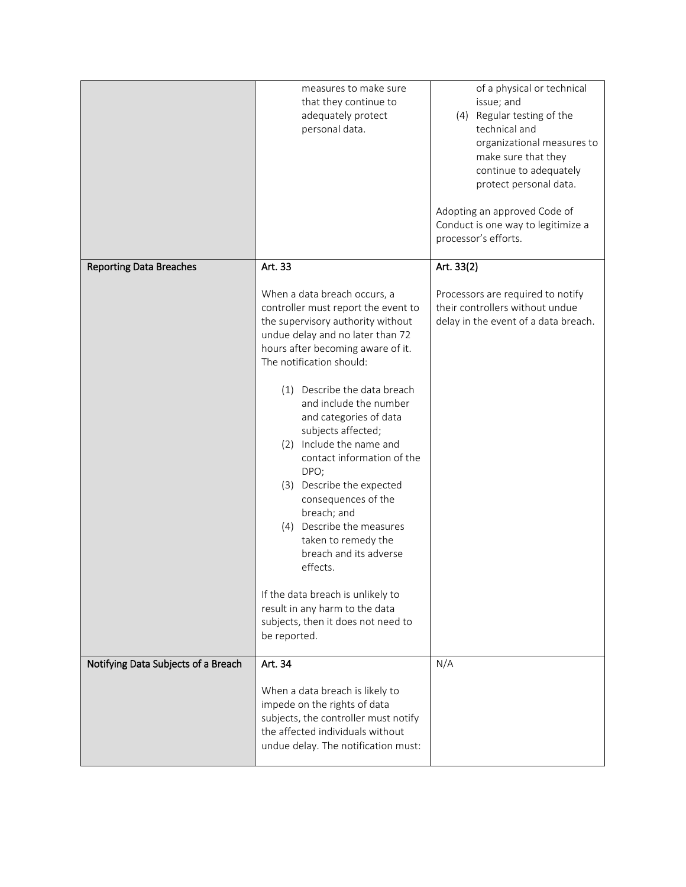|                                     | measures to make sure<br>that they continue to<br>adequately protect<br>personal data.                                                                                                                                                                                                                                                                                                                                                                                                                                                                                                                                                                                                         | of a physical or technical<br>issue; and<br>(4) Regular testing of the<br>technical and<br>organizational measures to<br>make sure that they<br>continue to adequately<br>protect personal data.<br>Adopting an approved Code of<br>Conduct is one way to legitimize a<br>processor's efforts. |
|-------------------------------------|------------------------------------------------------------------------------------------------------------------------------------------------------------------------------------------------------------------------------------------------------------------------------------------------------------------------------------------------------------------------------------------------------------------------------------------------------------------------------------------------------------------------------------------------------------------------------------------------------------------------------------------------------------------------------------------------|------------------------------------------------------------------------------------------------------------------------------------------------------------------------------------------------------------------------------------------------------------------------------------------------|
| <b>Reporting Data Breaches</b>      | Art. 33<br>When a data breach occurs, a<br>controller must report the event to<br>the supervisory authority without<br>undue delay and no later than 72<br>hours after becoming aware of it.<br>The notification should:<br>(1) Describe the data breach<br>and include the number<br>and categories of data<br>subjects affected;<br>(2) Include the name and<br>contact information of the<br>DPO;<br>(3) Describe the expected<br>consequences of the<br>breach; and<br>(4) Describe the measures<br>taken to remedy the<br>breach and its adverse<br>effects.<br>If the data breach is unlikely to<br>result in any harm to the data<br>subjects, then it does not need to<br>be reported. | Art. 33(2)<br>Processors are required to notify<br>their controllers without undue<br>delay in the event of a data breach.                                                                                                                                                                     |
| Notifying Data Subjects of a Breach | Art. 34<br>When a data breach is likely to<br>impede on the rights of data<br>subjects, the controller must notify<br>the affected individuals without<br>undue delay. The notification must:                                                                                                                                                                                                                                                                                                                                                                                                                                                                                                  | N/A                                                                                                                                                                                                                                                                                            |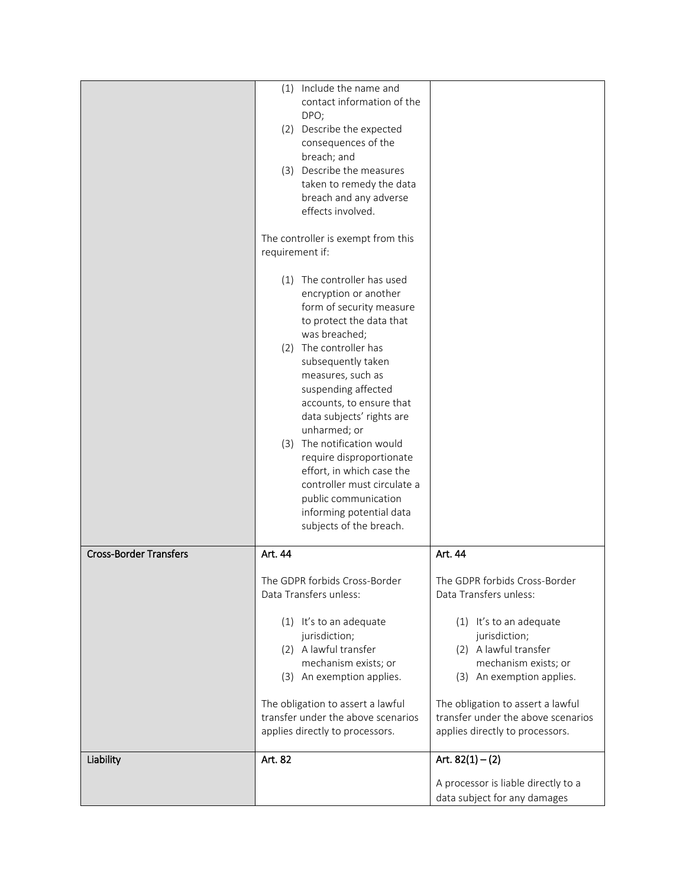|                               | (1) Include the name and                              |                                     |
|-------------------------------|-------------------------------------------------------|-------------------------------------|
|                               | contact information of the<br>DPO;                    |                                     |
|                               | (2) Describe the expected                             |                                     |
|                               | consequences of the                                   |                                     |
|                               | breach; and                                           |                                     |
|                               | (3) Describe the measures                             |                                     |
|                               | taken to remedy the data                              |                                     |
|                               | breach and any adverse<br>effects involved.           |                                     |
|                               |                                                       |                                     |
|                               | The controller is exempt from this<br>requirement if: |                                     |
|                               |                                                       |                                     |
|                               | (1) The controller has used                           |                                     |
|                               | encryption or another<br>form of security measure     |                                     |
|                               | to protect the data that                              |                                     |
|                               | was breached;                                         |                                     |
|                               | (2) The controller has                                |                                     |
|                               | subsequently taken                                    |                                     |
|                               | measures, such as<br>suspending affected              |                                     |
|                               | accounts, to ensure that                              |                                     |
|                               | data subjects' rights are                             |                                     |
|                               | unharmed; or                                          |                                     |
|                               | (3) The notification would                            |                                     |
|                               | require disproportionate<br>effort, in which case the |                                     |
|                               | controller must circulate a                           |                                     |
|                               | public communication                                  |                                     |
|                               | informing potential data                              |                                     |
|                               | subjects of the breach.                               |                                     |
| <b>Cross-Border Transfers</b> | Art. 44                                               | Art. 44                             |
|                               | The GDPR forbids Cross-Border                         | The GDPR forbids Cross-Border       |
|                               | Data Transfers unless:                                | Data Transfers unless:              |
|                               | (1) It's to an adequate                               | (1) It's to an adequate             |
|                               | jurisdiction;                                         | jurisdiction;                       |
|                               | (2) A lawful transfer                                 | (2) A lawful transfer               |
|                               | mechanism exists; or                                  | mechanism exists; or                |
|                               | (3) An exemption applies.                             | (3) An exemption applies.           |
|                               | The obligation to assert a lawful                     | The obligation to assert a lawful   |
|                               | transfer under the above scenarios                    | transfer under the above scenarios  |
|                               | applies directly to processors.                       | applies directly to processors.     |
| Liability                     | Art. 82                                               | Art. $82(1) - (2)$                  |
|                               |                                                       | A processor is liable directly to a |
|                               |                                                       | data subject for any damages        |